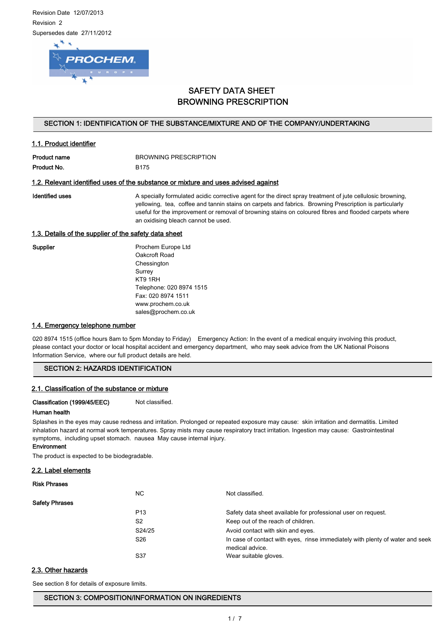Revision Date 12/07/2013 Revision 2 Supersedes date 27/11/2012



# SAFETY DATA SHEET BROWNING PRESCRIPTION

### SECTION 1: IDENTIFICATION OF THE SUBSTANCE/MIXTURE AND OF THE COMPANY/UNDERTAKING

| <b>Product name</b> | BROWNING PRESCRIPTION |
|---------------------|-----------------------|
| Product No.         | <b>B175</b>           |

### 1.2. Relevant identified uses of the substance or mixture and uses advised against

1.1. Product identifier

Identified uses **A** specially formulated acidic corrective agent for the direct spray treatment of jute cellulosic browning, yellowing, tea, coffee and tannin stains on carpets and fabrics. Browning Prescription is particularly useful for the improvement or removal of browning stains on coloured fibres and flooded carpets where an oxidising bleach cannot be used.

### 1.3. Details of the supplier of the safety data sheet

Supplier **Prochem Europe Ltd** Oakcroft Road Chessington Surrey KT9 1RH Telephone: 020 8974 1515 Fax: 020 8974 1511 www.prochem.co.uk sales@prochem.co.uk

### 1.4. Emergency telephone number

020 8974 1515 (office hours 8am to 5pm Monday to Friday) Emergency Action: In the event of a medical enquiry involving this product, please contact your doctor or local hospital accident and emergency department, who may seek advice from the UK National Poisons Information Service, where our full product details are held.

### SECTION 2: HAZARDS IDENTIFICATION

### 2.1. Classification of the substance or mixture

Classification (1999/45/EEC) Not classified.

### Human health

Splashes in the eyes may cause redness and irritation. Prolonged or repeated exposure may cause: skin irritation and dermatitis. Limited inhalation hazard at normal work temperatures. Spray mists may cause respiratory tract irritation. Ingestion may cause: Gastrointestinal symptoms, including upset stomach. nausea May cause internal injury.

### Environment

The product is expected to be biodegradable.

### 2.2. Label elements

### Risk Phrases

|                       | NC.             | Not classified.                                                                                  |
|-----------------------|-----------------|--------------------------------------------------------------------------------------------------|
| <b>Safety Phrases</b> |                 |                                                                                                  |
|                       | P <sub>13</sub> | Safety data sheet available for professional user on request.                                    |
|                       | S <sub>2</sub>  | Keep out of the reach of children.                                                               |
|                       | S24/25          | Avoid contact with skin and eyes.                                                                |
|                       | S26             | In case of contact with eyes, rinse immediately with plenty of water and seek<br>medical advice. |
|                       | S37             | Wear suitable gloves.                                                                            |

### 2.3. Other hazards

See section 8 for details of exposure limits.

SECTION 3: COMPOSITION/INFORMATION ON INGREDIENTS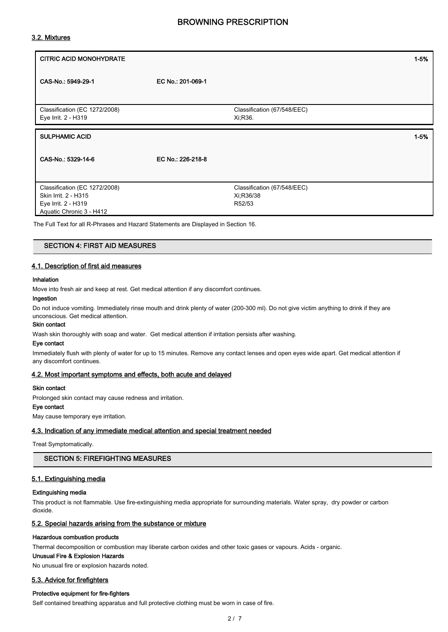### 3.2. Mixtures

| <b>CITRIC ACID MONOHYDRATE</b>                       |                   |                                         | $1 - 5%$ |
|------------------------------------------------------|-------------------|-----------------------------------------|----------|
| CAS-No.: 5949-29-1                                   | EC No.: 201-069-1 |                                         |          |
| Classification (EC 1272/2008)<br>Eye Irrit. 2 - H319 |                   | Classification (67/548/EEC)<br>Xi, R36. |          |
| <b>SULPHAMIC ACID</b>                                |                   |                                         | $1 - 5%$ |
| CAS-No.: 5329-14-6                                   | EC No.: 226-218-8 |                                         |          |
|                                                      |                   |                                         |          |

The Full Text for all R-Phrases and Hazard Statements are Displayed in Section 16.

#### SECTION 4: FIRST AID MEASURES

### 4.1. Description of first aid measures

#### Inhalation

Move into fresh air and keep at rest. Get medical attention if any discomfort continues.

### Ingestion

Do not induce vomiting. Immediately rinse mouth and drink plenty of water (200-300 ml). Do not give victim anything to drink if they are unconscious. Get medical attention.

#### Skin contact

Wash skin thoroughly with soap and water. Get medical attention if irritation persists after washing.

#### Eye contact

Immediately flush with plenty of water for up to 15 minutes. Remove any contact lenses and open eyes wide apart. Get medical attention if any discomfort continues.

### 4.2. Most important symptoms and effects, both acute and delayed

### Skin contact

Prolonged skin contact may cause redness and irritation.

### Eye contact

May cause temporary eye irritation.

### 4.3. Indication of any immediate medical attention and special treatment needed

Treat Symptomatically.

### SECTION 5: FIREFIGHTING MEASURES

### 5.1. Extinguishing media

### Extinguishing media

This product is not flammable. Use fire-extinguishing media appropriate for surrounding materials. Water spray, dry powder or carbon dioxide.

### 5.2. Special hazards arising from the substance or mixture

### Hazardous combustion products

Thermal decomposition or combustion may liberate carbon oxides and other toxic gases or vapours. Acids - organic.

#### Unusual Fire & Explosion Hazards

No unusual fire or explosion hazards noted.

### 5.3. Advice for firefighters

### Protective equipment for fire-fighters

Self contained breathing apparatus and full protective clothing must be worn in case of fire.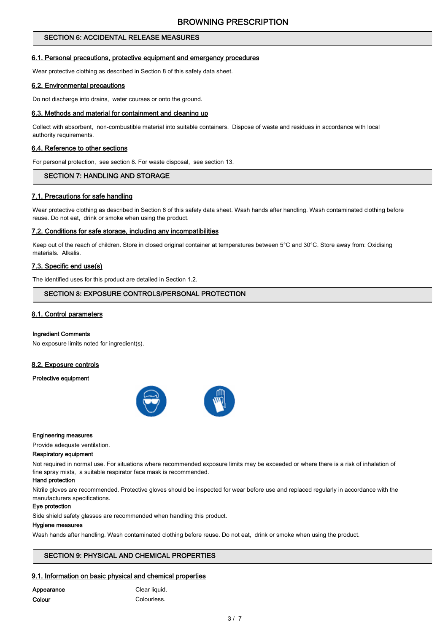# SECTION 6: ACCIDENTAL RELEASE MEASURES

### 6.1. Personal precautions, protective equipment and emergency procedures

Wear protective clothing as described in Section 8 of this safety data sheet.

### 6.2. Environmental precautions

Do not discharge into drains, water courses or onto the ground.

### 6.3. Methods and material for containment and cleaning up

Collect with absorbent, non-combustible material into suitable containers. Dispose of waste and residues in accordance with local authority requirements.

### 6.4. Reference to other sections

For personal protection, see section 8. For waste disposal, see section 13.

### SECTION 7: HANDLING AND STORAGE

### 7.1. Precautions for safe handling

Wear protective clothing as described in Section 8 of this safety data sheet. Wash hands after handling. Wash contaminated clothing before reuse. Do not eat, drink or smoke when using the product.

#### 7.2. Conditions for safe storage, including any incompatibilities

Keep out of the reach of children. Store in closed original container at temperatures between 5°C and 30°C. Store away from: Oxidising materials. Alkalis.

### 7.3. Specific end use(s)

The identified uses for this product are detailed in Section 1.2.

### SECTION 8: EXPOSURE CONTROLS/PERSONAL PROTECTION

### 8.1. Control parameters

#### Ingredient Comments

No exposure limits noted for ingredient(s).

### 8.2. Exposure controls

#### Protective equipment



#### Engineering measures

Provide adequate ventilation.

#### Respiratory equipment

Not required in normal use. For situations where recommended exposure limits may be exceeded or where there is a risk of inhalation of fine spray mists, a suitable respirator face mask is recommended.

#### Hand protection

Nitrile gloves are recommended. Protective gloves should be inspected for wear before use and replaced regularly in accordance with the manufacturers specifications.

### Eye protection

Side shield safety glasses are recommended when handling this product.

#### Hygiene measures

Wash hands after handling. Wash contaminated clothing before reuse. Do not eat, drink or smoke when using the product.

# SECTION 9: PHYSICAL AND CHEMICAL PROPERTIES

# 9.1. Information on basic physical and chemical properties

| Appearance |
|------------|
| Colour     |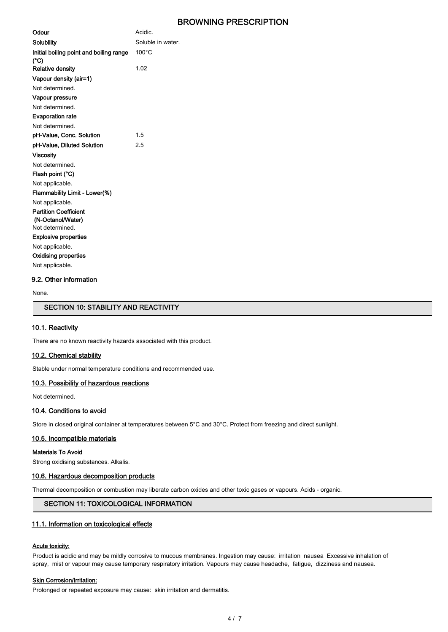| Odour                                             | Acidic.           |
|---------------------------------------------------|-------------------|
| Solubility                                        | Soluble in water. |
| Initial boiling point and boiling range<br>(°C)   | $100^{\circ}$ C   |
| <b>Relative density</b>                           | 1.02              |
| Vapour density (air=1)                            |                   |
| Not determined.                                   |                   |
| Vapour pressure                                   |                   |
| Not determined.                                   |                   |
| <b>Evaporation rate</b>                           |                   |
| Not determined.                                   |                   |
| pH-Value, Conc. Solution                          | 1.5               |
| pH-Value, Diluted Solution                        | 2.5               |
| Viscosity                                         |                   |
| Not determined.                                   |                   |
| Flash point (°C)                                  |                   |
| Not applicable.                                   |                   |
| Flammability Limit - Lower(%)                     |                   |
| Not applicable.                                   |                   |
| <b>Partition Coefficient</b><br>(N-Octanol/Water) |                   |
| Not determined.                                   |                   |
| <b>Explosive properties</b>                       |                   |
| Not applicable.                                   |                   |
| <b>Oxidising properties</b>                       |                   |
| Not applicable.                                   |                   |

### 9.2. Other information

None.

### SECTION 10: STABILITY AND REACTIVITY

### 10.1. Reactivity

There are no known reactivity hazards associated with this product.

#### 10.2. Chemical stability

Stable under normal temperature conditions and recommended use.

### 10.3. Possibility of hazardous reactions

Not determined.

#### 10.4. Conditions to avoid

Store in closed original container at temperatures between 5°C and 30°C. Protect from freezing and direct sunlight.

### 10.5. Incompatible materials

#### Materials To Avoid

Strong oxidising substances. Alkalis.

#### 10.6. Hazardous decomposition products

Thermal decomposition or combustion may liberate carbon oxides and other toxic gases or vapours. Acids - organic.

### SECTION 11: TOXICOLOGICAL INFORMATION

### 11.1. Information on toxicological effects

### Acute toxicity:

Product is acidic and may be mildly corrosive to mucous membranes. Ingestion may cause: irritation nausea Excessive inhalation of spray, mist or vapour may cause temporary respiratory irritation. Vapours may cause headache, fatigue, dizziness and nausea.

#### **Skin Corrosion/Irritation:**

Prolonged or repeated exposure may cause: skin irritation and dermatitis.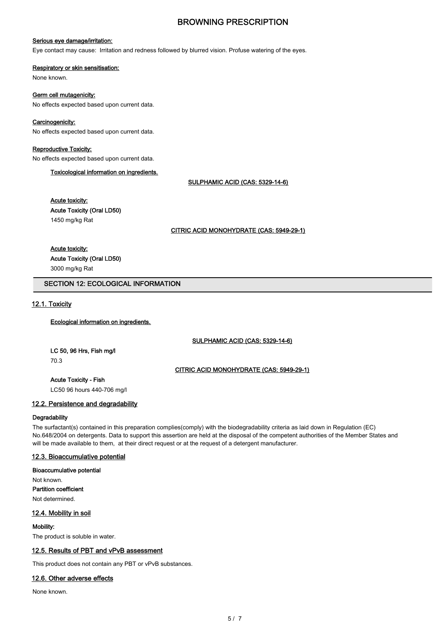### Serious eye damage/irritation:

Eye contact may cause: Irritation and redness followed by blurred vision. Profuse watering of the eyes.

#### Respiratory or skin sensitisation:

None known.

### Germ cell mutagenicity:

No effects expected based upon current data.

### Carcinogenicity:

No effects expected based upon current data.

### Reproductive Toxicity:

No effects expected based upon current data.

Toxicological information on ingredients.

SULPHAMIC ACID (CAS: 5329-14-6)

# Acute toxicity:

Acute Toxicity (Oral LD50)

1450 mg/kg Rat

CITRIC ACID MONOHYDRATE (CAS: 5949-29-1)

### Acute toxicity:

### Acute Toxicity (Oral LD50)

3000 mg/kg Rat

### SECTION 12: ECOLOGICAL INFORMATION

### 12.1. Toxicity

### Ecological information on ingredients.

SULPHAMIC ACID (CAS: 5329-14-6)

LC 50, 96 Hrs, Fish mg/l 70.3

CITRIC ACID MONOHYDRATE (CAS: 5949-29-1)

### Acute Toxicity - Fish

LC50 96 hours 440-706 mg/l

### 12.2. Persistence and degradability

### **Degradability**

The surfactant(s) contained in this preparation complies(comply) with the biodegradability criteria as laid down in Regulation (EC) No.648/2004 on detergents. Data to support this assertion are held at the disposal of the competent authorities of the Member States and will be made available to them, at their direct request or at the request of a detergent manufacturer.

### 12.3. Bioaccumulative potential

Bioaccumulative potential

Not known. Partition coefficient Not determined.

### 12.4. Mobility in soil

### Mobility:

The product is soluble in water.

### 12.5. Results of PBT and vPvB assessment

This product does not contain any PBT or vPvB substances.

### 12.6. Other adverse effects

None known.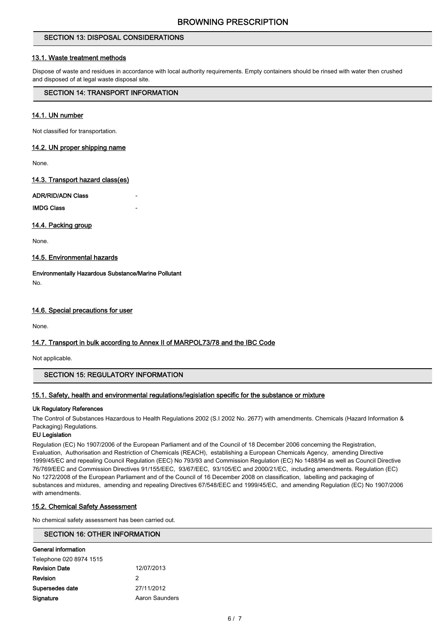## SECTION 13: DISPOSAL CONSIDERATIONS

### 13.1. Waste treatment methods

Dispose of waste and residues in accordance with local authority requirements. Empty containers should be rinsed with water then crushed and disposed of at legal waste disposal site.

### SECTION 14: TRANSPORT INFORMATION

### 14.1. UN number

Not classified for transportation.

### 14.2. UN proper shipping name

None.

### 14.3. Transport hazard class(es)

### ADR/RID/ADN Class

**IMDG Class** 

### 14.4. Packing group

None.

### 14.5. Environmental hazards

Environmentally Hazardous Substance/Marine Pollutant No.

### 14.6. Special precautions for user

None.

### 14.7. Transport in bulk according to Annex II of MARPOL73/78 and the IBC Code

Not applicable.

### SECTION 15: REGULATORY INFORMATION

### 15.1. Safety, health and environmental regulations/legislation specific for the substance or mixture

### Uk Regulatory References

The Control of Substances Hazardous to Health Regulations 2002 (S.I 2002 No. 2677) with amendments. Chemicals (Hazard Information & Packaging) Regulations.

### EU Legislation

Regulation (EC) No 1907/2006 of the European Parliament and of the Council of 18 December 2006 concerning the Registration, Evaluation, Authorisation and Restriction of Chemicals (REACH), establishing a European Chemicals Agency, amending Directive 1999/45/EC and repealing Council Regulation (EEC) No 793/93 and Commission Regulation (EC) No 1488/94 as well as Council Directive 76/769/EEC and Commission Directives 91/155/EEC, 93/67/EEC, 93/105/EC and 2000/21/EC, including amendments. Regulation (EC) No 1272/2008 of the European Parliament and of the Council of 16 December 2008 on classification, labelling and packaging of substances and mixtures, amending and repealing Directives 67/548/EEC and 1999/45/EC, and amending Regulation (EC) No 1907/2006 with amendments.

### 15.2. Chemical Safety Assessment

No chemical safety assessment has been carried out.

### SECTION 16: OTHER INFORMATION

| General information     |                |
|-------------------------|----------------|
| Telephone 020 8974 1515 |                |
| <b>Revision Date</b>    | 12/07/2013     |
| Revision                | 2              |
| Supersedes date         | 27/11/2012     |
| Signature               | Aaron Saunders |